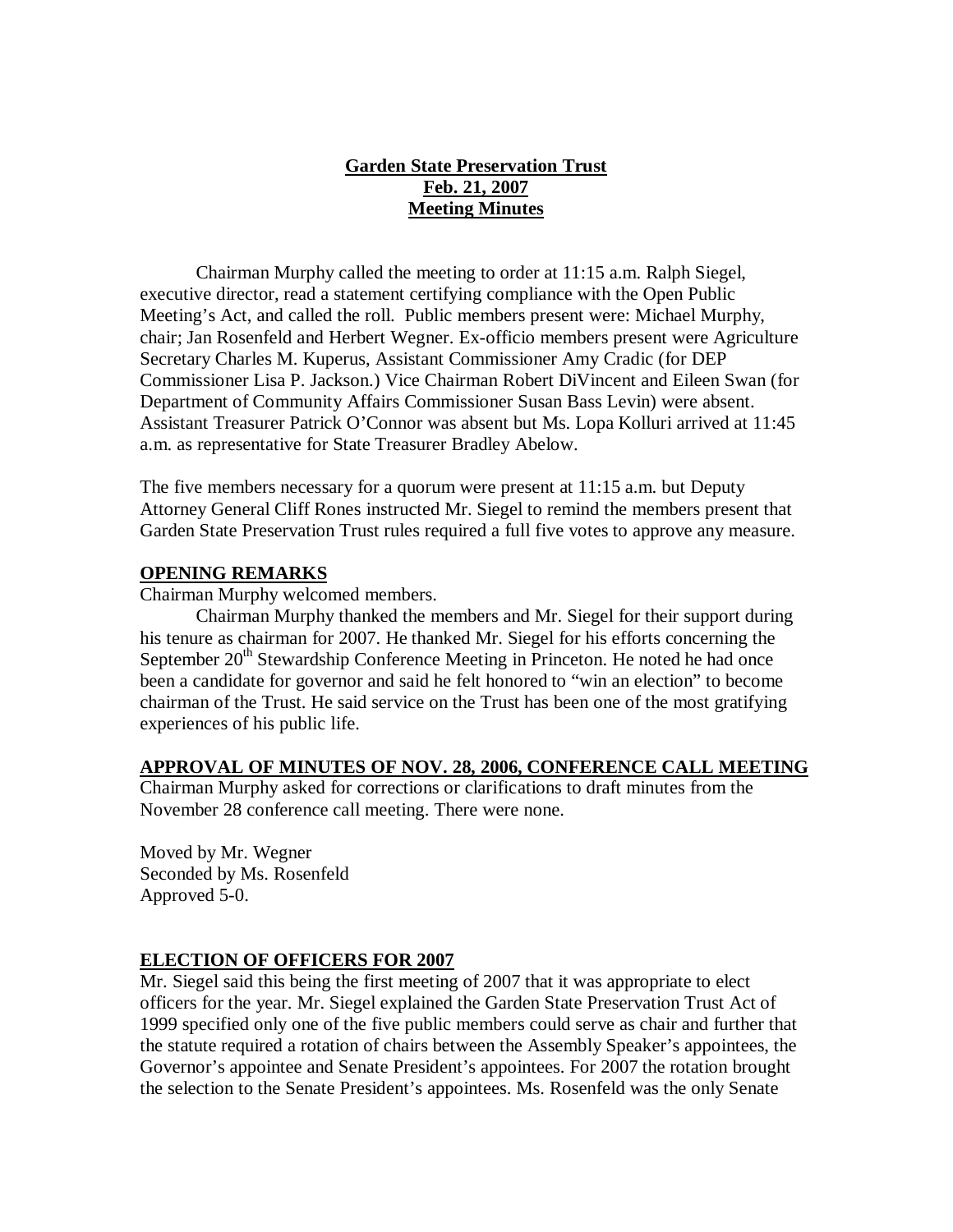# **Garden State Preservation Trust Feb. 21, 2007 Meeting Minutes**

Chairman Murphy called the meeting to order at 11:15 a.m. Ralph Siegel, executive director, read a statement certifying compliance with the Open Public Meeting's Act, and called the roll. Public members present were: Michael Murphy, chair; Jan Rosenfeld and Herbert Wegner. Ex-officio members present were Agriculture Secretary Charles M. Kuperus, Assistant Commissioner Amy Cradic (for DEP Commissioner Lisa P. Jackson.) Vice Chairman Robert DiVincent and Eileen Swan (for Department of Community Affairs Commissioner Susan Bass Levin) were absent. Assistant Treasurer Patrick O'Connor was absent but Ms. Lopa Kolluri arrived at 11:45 a.m. as representative for State Treasurer Bradley Abelow.

The five members necessary for a quorum were present at 11:15 a.m. but Deputy Attorney General Cliff Rones instructed Mr. Siegel to remind the members present that Garden State Preservation Trust rules required a full five votes to approve any measure.

## **OPENING REMARKS**

Chairman Murphy welcomed members.

Chairman Murphy thanked the members and Mr. Siegel for their support during his tenure as chairman for 2007. He thanked Mr. Siegel for his efforts concerning the September  $20<sup>th</sup>$  Stewardship Conference Meeting in Princeton. He noted he had once been a candidate for governor and said he felt honored to "win an election" to become chairman of the Trust. He said service on the Trust has been one of the most gratifying experiences of his public life.

## **APPROVAL OF MINUTES OF NOV. 28, 2006, CONFERENCE CALL MEETING**

Chairman Murphy asked for corrections or clarifications to draft minutes from the November 28 conference call meeting. There were none.

Moved by Mr. Wegner Seconded by Ms. Rosenfeld Approved 5-0.

## **ELECTION OF OFFICERS FOR 2007**

Mr. Siegel said this being the first meeting of 2007 that it was appropriate to elect officers for the year. Mr. Siegel explained the Garden State Preservation Trust Act of 1999 specified only one of the five public members could serve as chair and further that the statute required a rotation of chairs between the Assembly Speaker's appointees, the Governor's appointee and Senate President's appointees. For 2007 the rotation brought the selection to the Senate President's appointees. Ms. Rosenfeld was the only Senate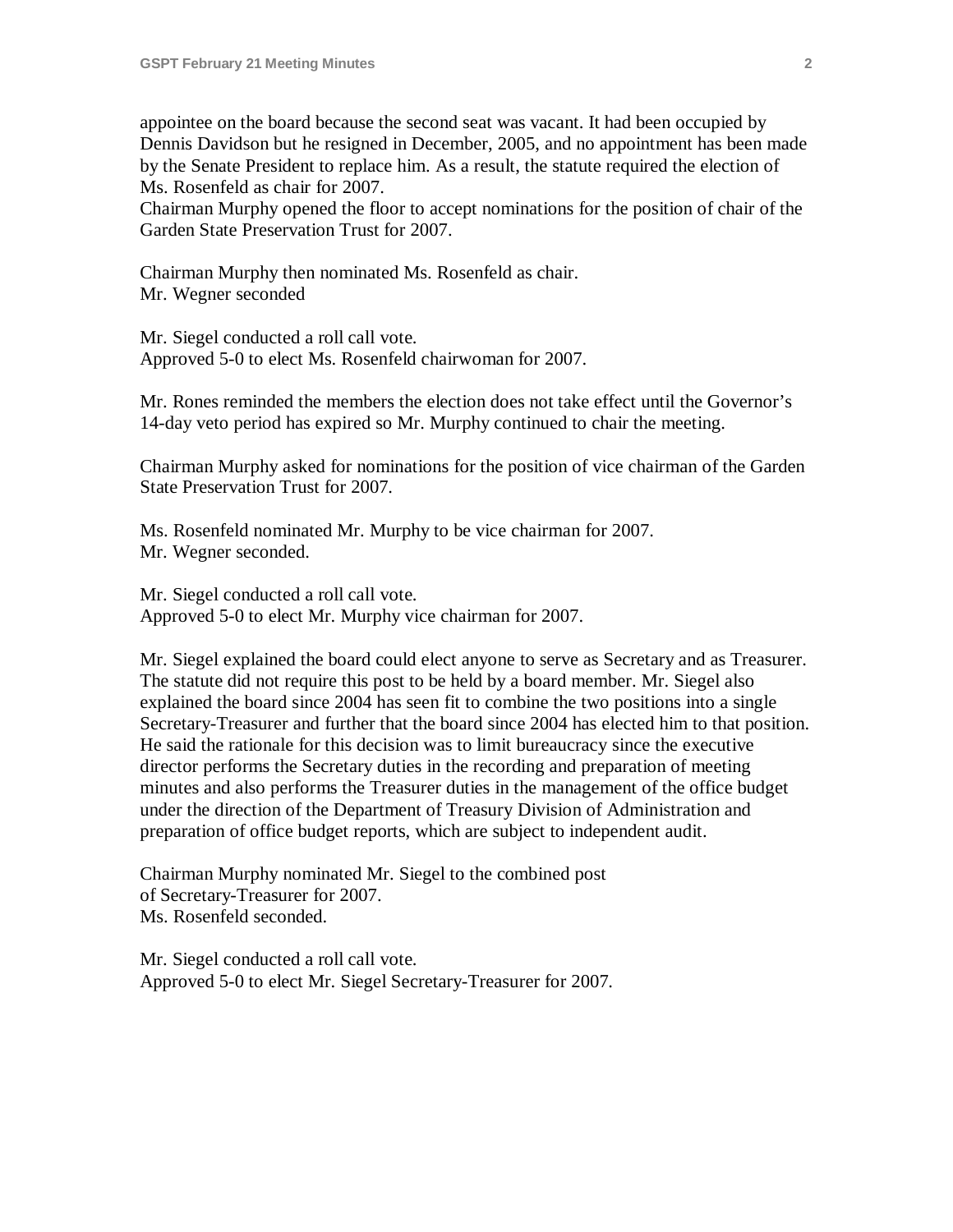appointee on the board because the second seat was vacant. It had been occupied by Dennis Davidson but he resigned in December, 2005, and no appointment has been made by the Senate President to replace him. As a result, the statute required the election of Ms. Rosenfeld as chair for 2007.

Chairman Murphy opened the floor to accept nominations for the position of chair of the Garden State Preservation Trust for 2007.

Chairman Murphy then nominated Ms. Rosenfeld as chair. Mr. Wegner seconded

Mr. Siegel conducted a roll call vote. Approved 5-0 to elect Ms. Rosenfeld chairwoman for 2007.

Mr. Rones reminded the members the election does not take effect until the Governor's 14-day veto period has expired so Mr. Murphy continued to chair the meeting.

Chairman Murphy asked for nominations for the position of vice chairman of the Garden State Preservation Trust for 2007.

Ms. Rosenfeld nominated Mr. Murphy to be vice chairman for 2007. Mr. Wegner seconded.

Mr. Siegel conducted a roll call vote. Approved 5-0 to elect Mr. Murphy vice chairman for 2007.

Mr. Siegel explained the board could elect anyone to serve as Secretary and as Treasurer. The statute did not require this post to be held by a board member. Mr. Siegel also explained the board since 2004 has seen fit to combine the two positions into a single Secretary-Treasurer and further that the board since 2004 has elected him to that position. He said the rationale for this decision was to limit bureaucracy since the executive director performs the Secretary duties in the recording and preparation of meeting minutes and also performs the Treasurer duties in the management of the office budget under the direction of the Department of Treasury Division of Administration and preparation of office budget reports, which are subject to independent audit.

Chairman Murphy nominated Mr. Siegel to the combined post of Secretary-Treasurer for 2007. Ms. Rosenfeld seconded.

Mr. Siegel conducted a roll call vote. Approved 5-0 to elect Mr. Siegel Secretary-Treasurer for 2007.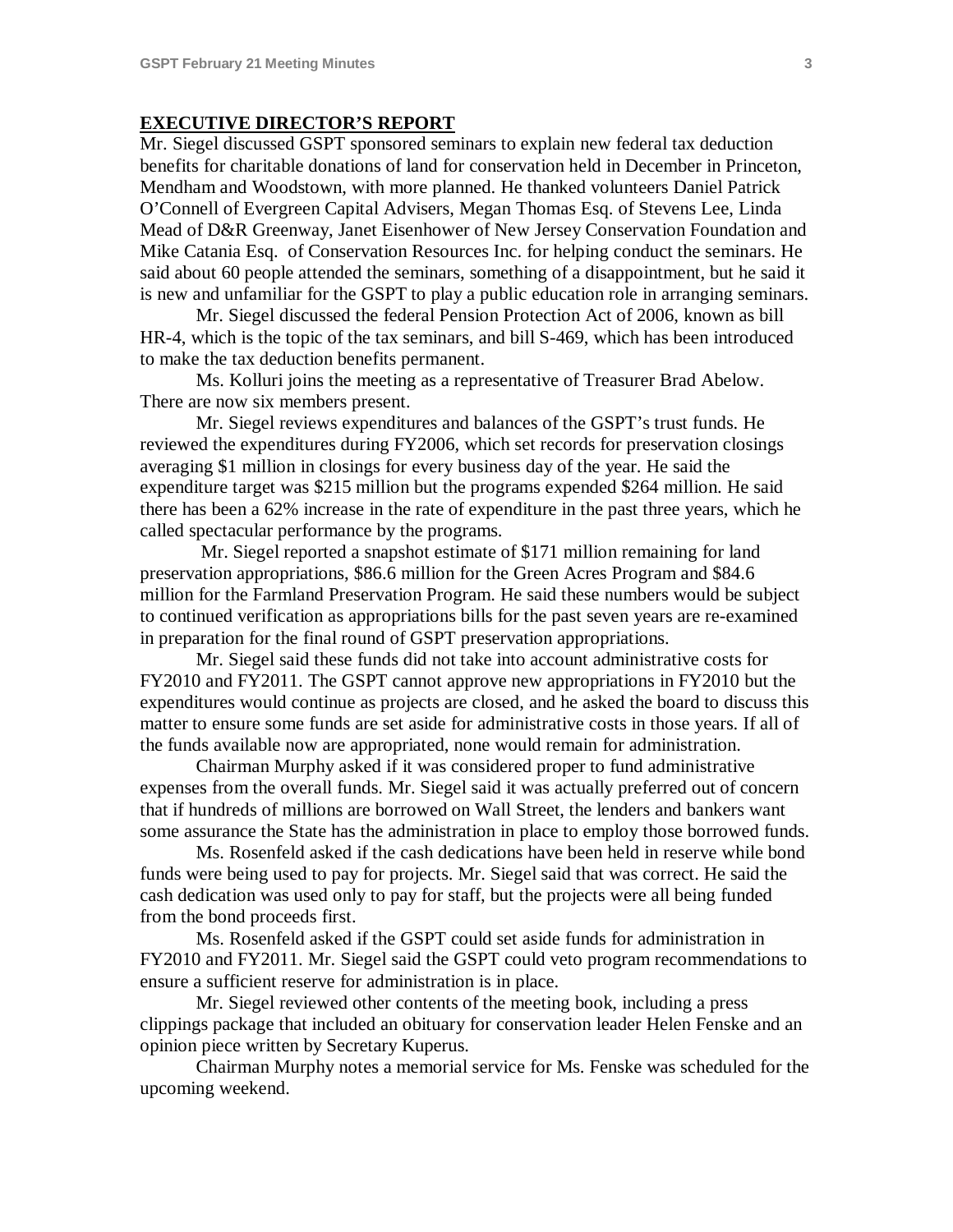#### **EXECUTIVE DIRECTOR'S REPORT**

Mr. Siegel discussed GSPT sponsored seminars to explain new federal tax deduction benefits for charitable donations of land for conservation held in December in Princeton, Mendham and Woodstown, with more planned. He thanked volunteers Daniel Patrick O'Connell of Evergreen Capital Advisers, Megan Thomas Esq. of Stevens Lee, Linda Mead of D&R Greenway, Janet Eisenhower of New Jersey Conservation Foundation and Mike Catania Esq. of Conservation Resources Inc. for helping conduct the seminars. He said about 60 people attended the seminars, something of a disappointment, but he said it is new and unfamiliar for the GSPT to play a public education role in arranging seminars.

Mr. Siegel discussed the federal Pension Protection Act of 2006, known as bill HR-4, which is the topic of the tax seminars, and bill S-469, which has been introduced to make the tax deduction benefits permanent.

Ms. Kolluri joins the meeting as a representative of Treasurer Brad Abelow. There are now six members present.

Mr. Siegel reviews expenditures and balances of the GSPT's trust funds. He reviewed the expenditures during FY2006, which set records for preservation closings averaging \$1 million in closings for every business day of the year. He said the expenditure target was \$215 million but the programs expended \$264 million. He said there has been a 62% increase in the rate of expenditure in the past three years, which he called spectacular performance by the programs.

Mr. Siegel reported a snapshot estimate of \$171 million remaining for land preservation appropriations, \$86.6 million for the Green Acres Program and \$84.6 million for the Farmland Preservation Program. He said these numbers would be subject to continued verification as appropriations bills for the past seven years are re-examined in preparation for the final round of GSPT preservation appropriations.

Mr. Siegel said these funds did not take into account administrative costs for FY2010 and FY2011. The GSPT cannot approve new appropriations in FY2010 but the expenditures would continue as projects are closed, and he asked the board to discuss this matter to ensure some funds are set aside for administrative costs in those years. If all of the funds available now are appropriated, none would remain for administration.

Chairman Murphy asked if it was considered proper to fund administrative expenses from the overall funds. Mr. Siegel said it was actually preferred out of concern that if hundreds of millions are borrowed on Wall Street, the lenders and bankers want some assurance the State has the administration in place to employ those borrowed funds.

Ms. Rosenfeld asked if the cash dedications have been held in reserve while bond funds were being used to pay for projects. Mr. Siegel said that was correct. He said the cash dedication was used only to pay for staff, but the projects were all being funded from the bond proceeds first.

Ms. Rosenfeld asked if the GSPT could set aside funds for administration in FY2010 and FY2011. Mr. Siegel said the GSPT could veto program recommendations to ensure a sufficient reserve for administration is in place.

Mr. Siegel reviewed other contents of the meeting book, including a press clippings package that included an obituary for conservation leader Helen Fenske and an opinion piece written by Secretary Kuperus.

Chairman Murphy notes a memorial service for Ms. Fenske was scheduled for the upcoming weekend.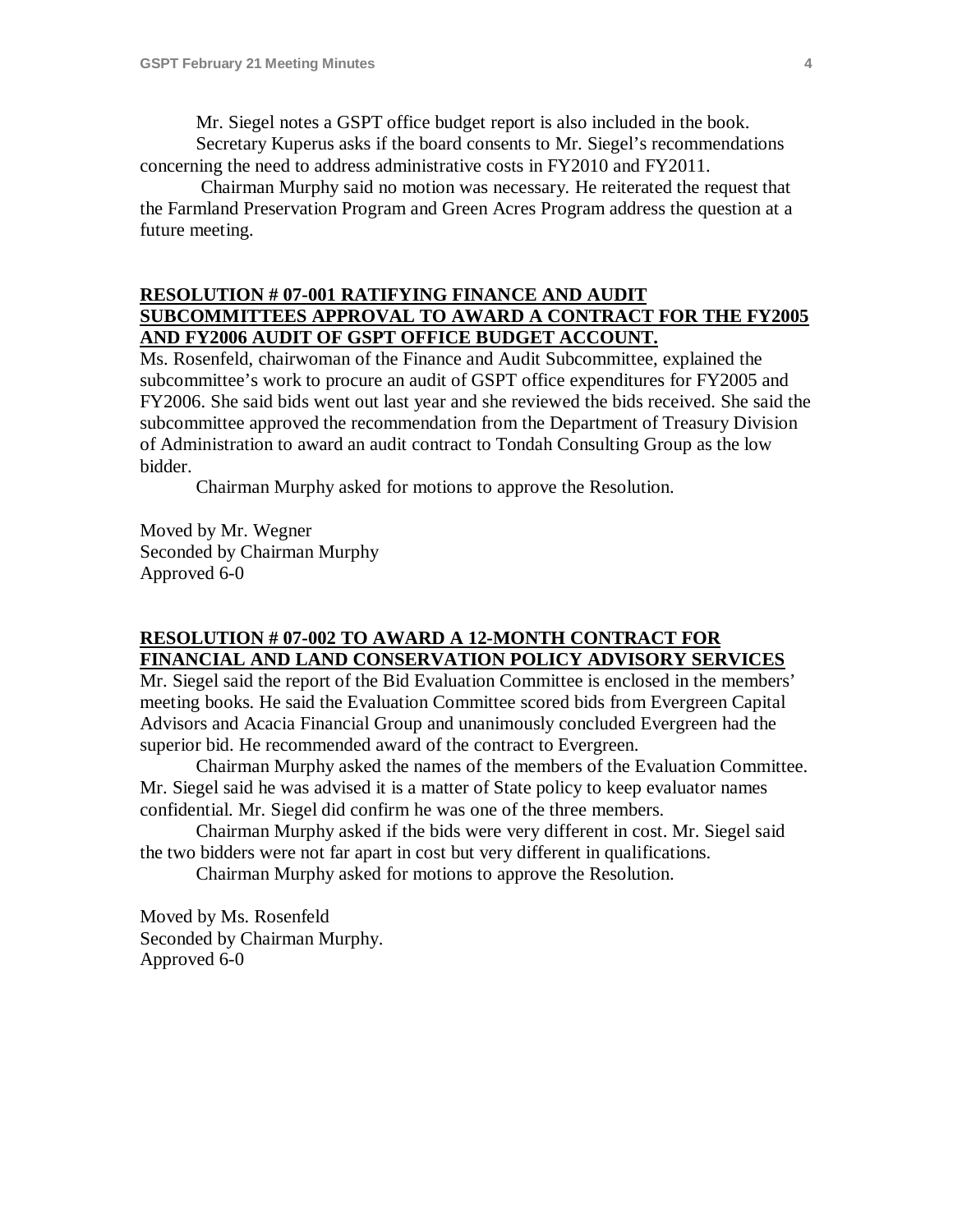Mr. Siegel notes a GSPT office budget report is also included in the book.

Secretary Kuperus asks if the board consents to Mr. Siegel's recommendations concerning the need to address administrative costs in FY2010 and FY2011.

Chairman Murphy said no motion was necessary. He reiterated the request that the Farmland Preservation Program and Green Acres Program address the question at a future meeting.

## **RESOLUTION # 07-001 RATIFYING FINANCE AND AUDIT SUBCOMMITTEES APPROVAL TO AWARD A CONTRACT FOR THE FY2005 AND FY2006 AUDIT OF GSPT OFFICE BUDGET ACCOUNT.**

Ms. Rosenfeld, chairwoman of the Finance and Audit Subcommittee, explained the subcommittee's work to procure an audit of GSPT office expenditures for FY2005 and FY2006. She said bids went out last year and she reviewed the bids received. She said the subcommittee approved the recommendation from the Department of Treasury Division of Administration to award an audit contract to Tondah Consulting Group as the low bidder.

Chairman Murphy asked for motions to approve the Resolution.

Moved by Mr. Wegner Seconded by Chairman Murphy Approved 6-0

## **RESOLUTION # 07-002 TO AWARD A 12-MONTH CONTRACT FOR FINANCIAL AND LAND CONSERVATION POLICY ADVISORY SERVICES**

Mr. Siegel said the report of the Bid Evaluation Committee is enclosed in the members' meeting books. He said the Evaluation Committee scored bids from Evergreen Capital Advisors and Acacia Financial Group and unanimously concluded Evergreen had the superior bid. He recommended award of the contract to Evergreen.

Chairman Murphy asked the names of the members of the Evaluation Committee. Mr. Siegel said he was advised it is a matter of State policy to keep evaluator names confidential. Mr. Siegel did confirm he was one of the three members.

Chairman Murphy asked if the bids were very different in cost. Mr. Siegel said the two bidders were not far apart in cost but very different in qualifications.

Chairman Murphy asked for motions to approve the Resolution.

Moved by Ms. Rosenfeld Seconded by Chairman Murphy. Approved 6-0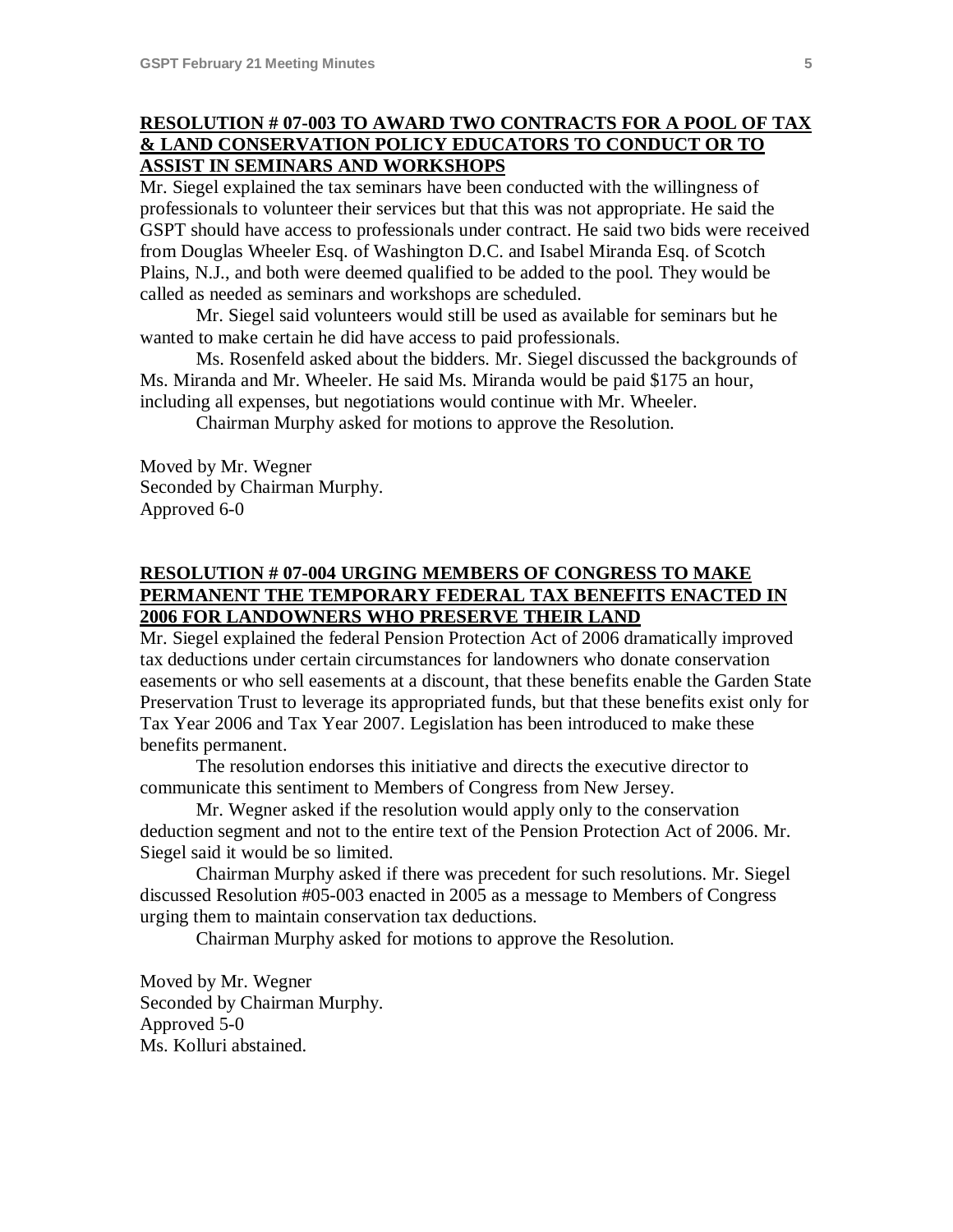# **RESOLUTION # 07-003 TO AWARD TWO CONTRACTS FOR A POOL OF TAX & LAND CONSERVATION POLICY EDUCATORS TO CONDUCT OR TO ASSIST IN SEMINARS AND WORKSHOPS**

Mr. Siegel explained the tax seminars have been conducted with the willingness of professionals to volunteer their services but that this was not appropriate. He said the GSPT should have access to professionals under contract. He said two bids were received from Douglas Wheeler Esq. of Washington D.C. and Isabel Miranda Esq. of Scotch Plains, N.J., and both were deemed qualified to be added to the pool. They would be called as needed as seminars and workshops are scheduled.

Mr. Siegel said volunteers would still be used as available for seminars but he wanted to make certain he did have access to paid professionals.

Ms. Rosenfeld asked about the bidders. Mr. Siegel discussed the backgrounds of Ms. Miranda and Mr. Wheeler. He said Ms. Miranda would be paid \$175 an hour, including all expenses, but negotiations would continue with Mr. Wheeler.

Chairman Murphy asked for motions to approve the Resolution.

Moved by Mr. Wegner Seconded by Chairman Murphy. Approved 6-0

# **RESOLUTION # 07-004 URGING MEMBERS OF CONGRESS TO MAKE PERMANENT THE TEMPORARY FEDERAL TAX BENEFITS ENACTED IN 2006 FOR LANDOWNERS WHO PRESERVE THEIR LAND**

Mr. Siegel explained the federal Pension Protection Act of 2006 dramatically improved tax deductions under certain circumstances for landowners who donate conservation easements or who sell easements at a discount, that these benefits enable the Garden State Preservation Trust to leverage its appropriated funds, but that these benefits exist only for Tax Year 2006 and Tax Year 2007. Legislation has been introduced to make these benefits permanent.

The resolution endorses this initiative and directs the executive director to communicate this sentiment to Members of Congress from New Jersey.

Mr. Wegner asked if the resolution would apply only to the conservation deduction segment and not to the entire text of the Pension Protection Act of 2006. Mr. Siegel said it would be so limited.

Chairman Murphy asked if there was precedent for such resolutions. Mr. Siegel discussed Resolution #05-003 enacted in 2005 as a message to Members of Congress urging them to maintain conservation tax deductions.

Chairman Murphy asked for motions to approve the Resolution.

Moved by Mr. Wegner Seconded by Chairman Murphy. Approved 5-0 Ms. Kolluri abstained.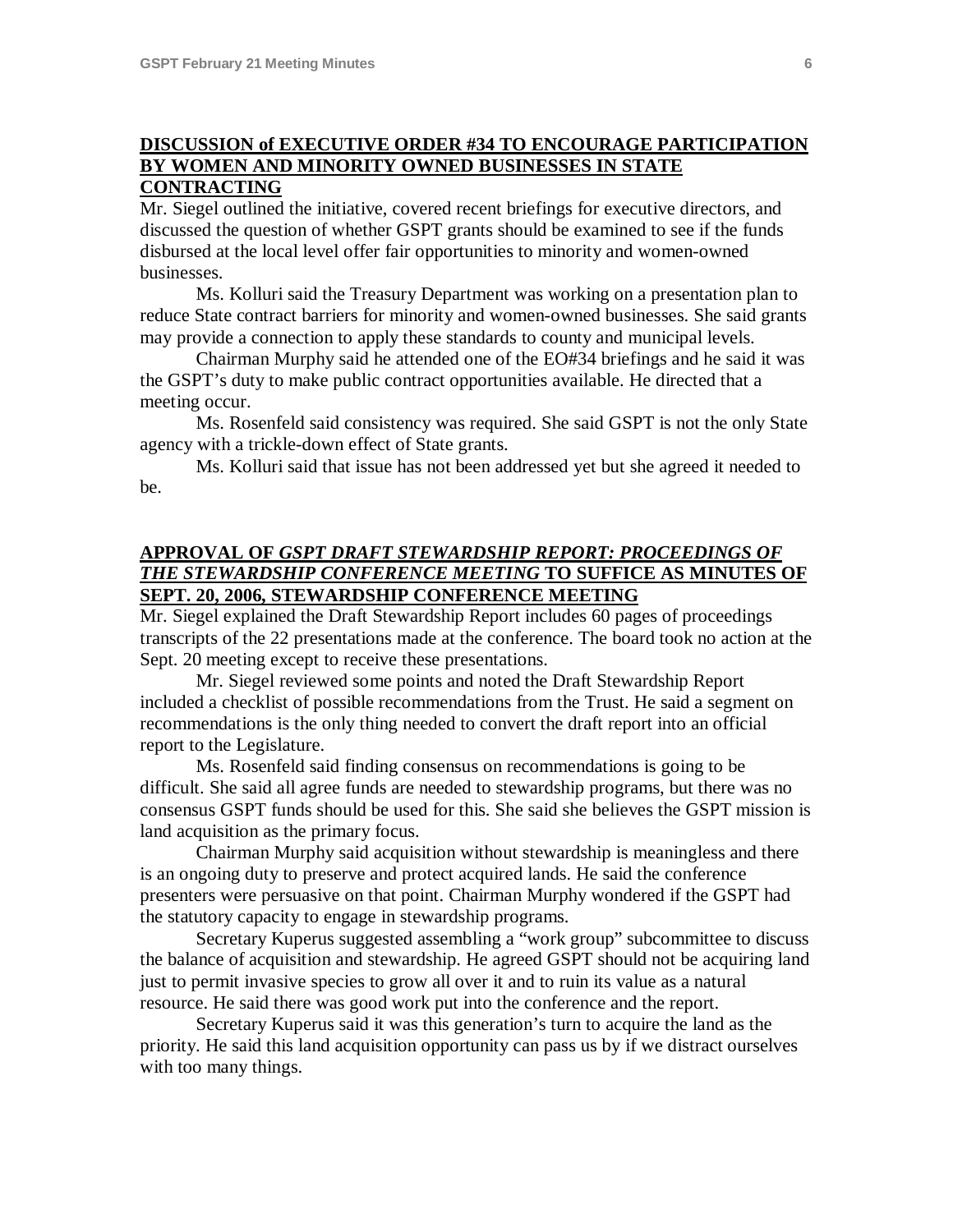## **DISCUSSION of EXECUTIVE ORDER #34 TO ENCOURAGE PARTICIPATION BY WOMEN AND MINORITY OWNED BUSINESSES IN STATE CONTRACTING**

Mr. Siegel outlined the initiative, covered recent briefings for executive directors, and discussed the question of whether GSPT grants should be examined to see if the funds disbursed at the local level offer fair opportunities to minority and women-owned businesses.

Ms. Kolluri said the Treasury Department was working on a presentation plan to reduce State contract barriers for minority and women-owned businesses. She said grants may provide a connection to apply these standards to county and municipal levels.

Chairman Murphy said he attended one of the EO#34 briefings and he said it was the GSPT's duty to make public contract opportunities available. He directed that a meeting occur.

Ms. Rosenfeld said consistency was required. She said GSPT is not the only State agency with a trickle-down effect of State grants.

Ms. Kolluri said that issue has not been addressed yet but she agreed it needed to be.

## **APPROVAL OF** *GSPT DRAFT STEWARDSHIP REPORT: PROCEEDINGS OF THE STEWARDSHIP CONFERENCE MEETING* **TO SUFFICE AS MINUTES OF SEPT. 20, 2006, STEWARDSHIP CONFERENCE MEETING**

Mr. Siegel explained the Draft Stewardship Report includes 60 pages of proceedings transcripts of the 22 presentations made at the conference. The board took no action at the Sept. 20 meeting except to receive these presentations.

Mr. Siegel reviewed some points and noted the Draft Stewardship Report included a checklist of possible recommendations from the Trust. He said a segment on recommendations is the only thing needed to convert the draft report into an official report to the Legislature.

Ms. Rosenfeld said finding consensus on recommendations is going to be difficult. She said all agree funds are needed to stewardship programs, but there was no consensus GSPT funds should be used for this. She said she believes the GSPT mission is land acquisition as the primary focus.

Chairman Murphy said acquisition without stewardship is meaningless and there is an ongoing duty to preserve and protect acquired lands. He said the conference presenters were persuasive on that point. Chairman Murphy wondered if the GSPT had the statutory capacity to engage in stewardship programs.

Secretary Kuperus suggested assembling a "work group" subcommittee to discuss the balance of acquisition and stewardship. He agreed GSPT should not be acquiring land just to permit invasive species to grow all over it and to ruin its value as a natural resource. He said there was good work put into the conference and the report.

Secretary Kuperus said it was this generation's turn to acquire the land as the priority. He said this land acquisition opportunity can pass us by if we distract ourselves with too many things.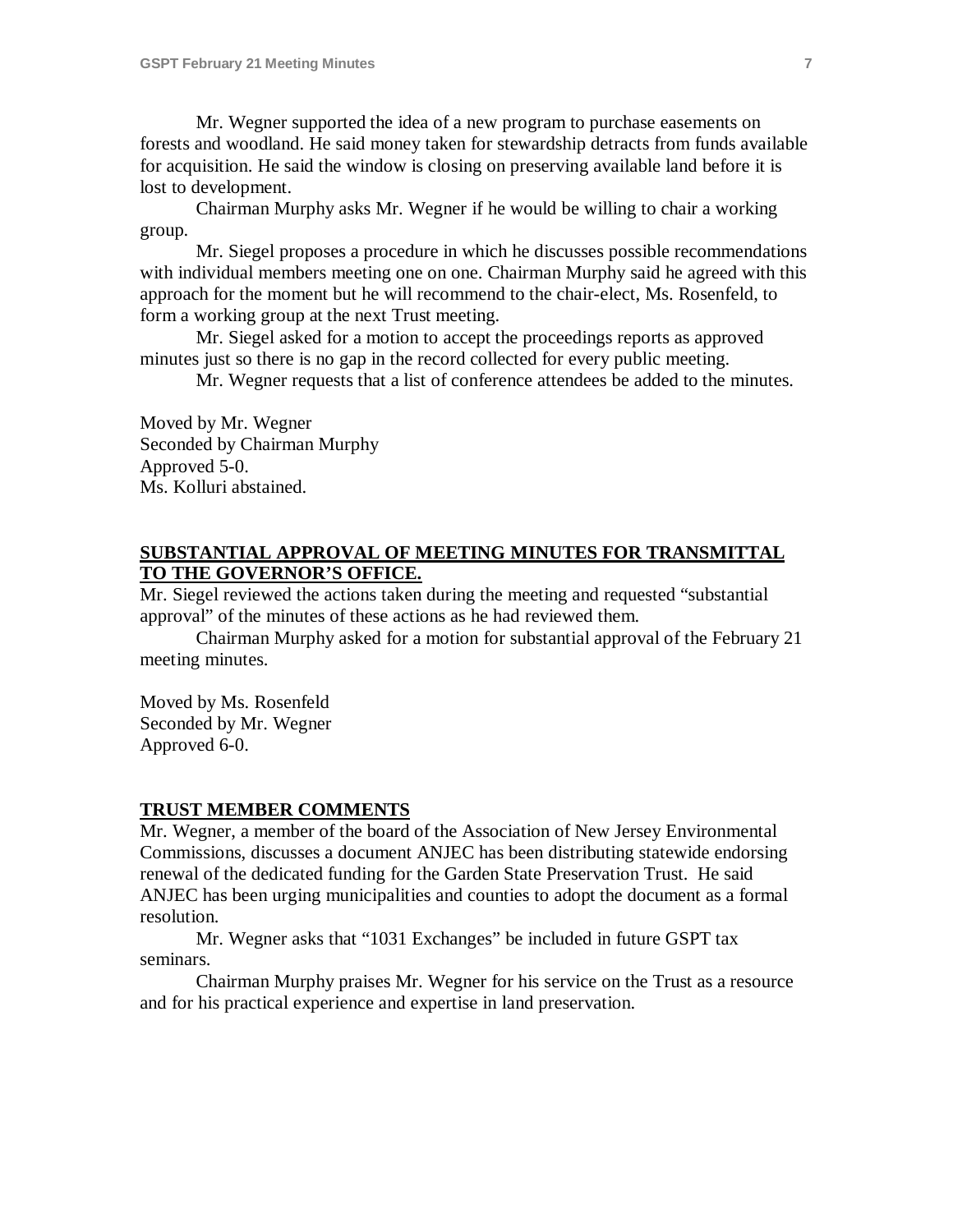Mr. Wegner supported the idea of a new program to purchase easements on forests and woodland. He said money taken for stewardship detracts from funds available for acquisition. He said the window is closing on preserving available land before it is lost to development.

Chairman Murphy asks Mr. Wegner if he would be willing to chair a working group.

Mr. Siegel proposes a procedure in which he discusses possible recommendations with individual members meeting one on one. Chairman Murphy said he agreed with this approach for the moment but he will recommend to the chair-elect, Ms. Rosenfeld, to form a working group at the next Trust meeting.

Mr. Siegel asked for a motion to accept the proceedings reports as approved minutes just so there is no gap in the record collected for every public meeting.

Mr. Wegner requests that a list of conference attendees be added to the minutes.

Moved by Mr. Wegner Seconded by Chairman Murphy Approved 5-0. Ms. Kolluri abstained.

## **SUBSTANTIAL APPROVAL OF MEETING MINUTES FOR TRANSMITTAL TO THE GOVERNOR'S OFFICE.**

Mr. Siegel reviewed the actions taken during the meeting and requested "substantial approval" of the minutes of these actions as he had reviewed them.

Chairman Murphy asked for a motion for substantial approval of the February 21 meeting minutes.

Moved by Ms. Rosenfeld Seconded by Mr. Wegner Approved 6-0.

### **TRUST MEMBER COMMENTS**

Mr. Wegner, a member of the board of the Association of New Jersey Environmental Commissions, discusses a document ANJEC has been distributing statewide endorsing renewal of the dedicated funding for the Garden State Preservation Trust. He said ANJEC has been urging municipalities and counties to adopt the document as a formal resolution.

Mr. Wegner asks that "1031 Exchanges" be included in future GSPT tax seminars.

Chairman Murphy praises Mr. Wegner for his service on the Trust as a resource and for his practical experience and expertise in land preservation.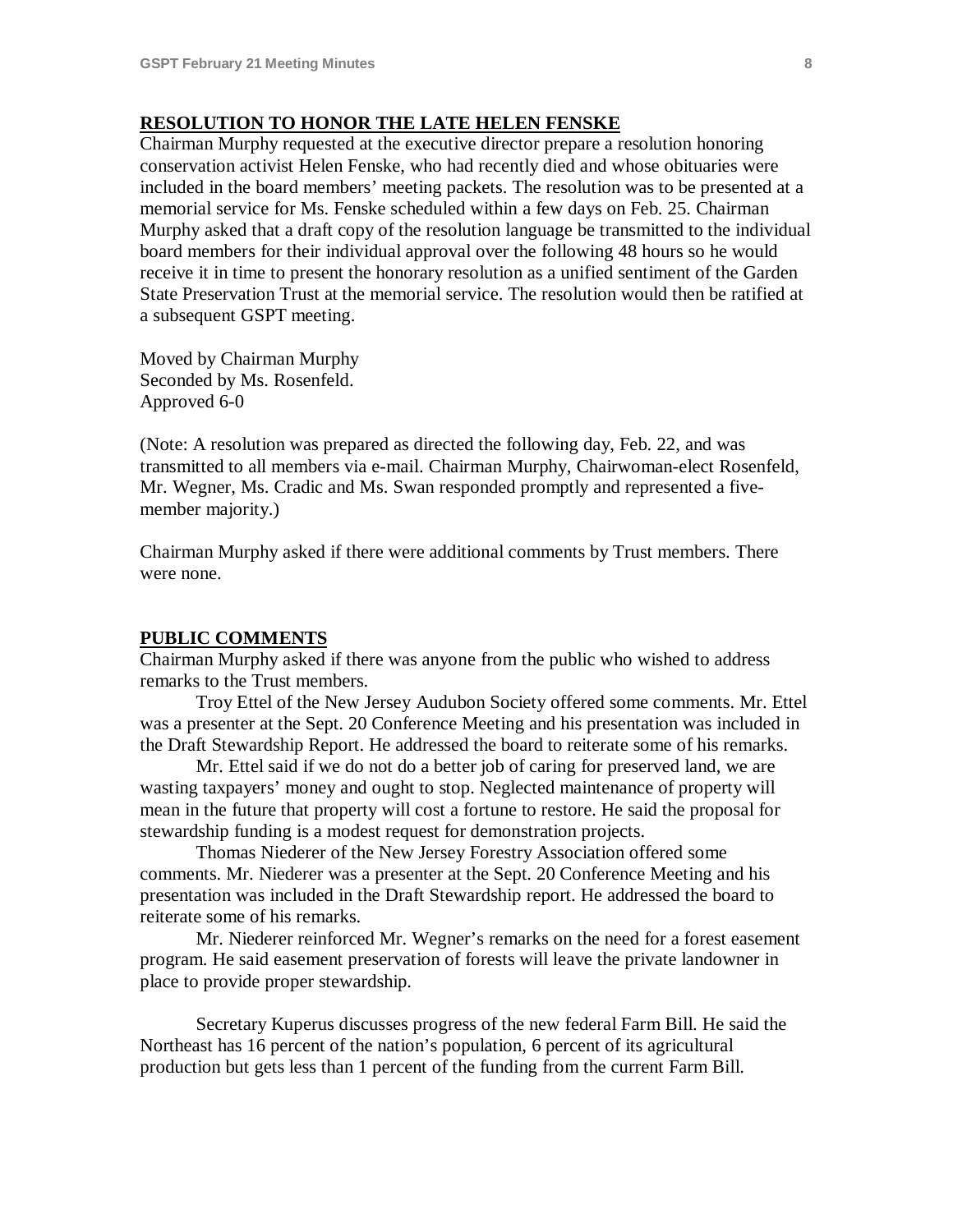### **RESOLUTION TO HONOR THE LATE HELEN FENSKE**

Chairman Murphy requested at the executive director prepare a resolution honoring conservation activist Helen Fenske, who had recently died and whose obituaries were included in the board members' meeting packets. The resolution was to be presented at a memorial service for Ms. Fenske scheduled within a few days on Feb. 25. Chairman Murphy asked that a draft copy of the resolution language be transmitted to the individual board members for their individual approval over the following 48 hours so he would receive it in time to present the honorary resolution as a unified sentiment of the Garden State Preservation Trust at the memorial service. The resolution would then be ratified at a subsequent GSPT meeting.

Moved by Chairman Murphy Seconded by Ms. Rosenfeld. Approved 6-0

(Note: A resolution was prepared as directed the following day, Feb. 22, and was transmitted to all members via e-mail. Chairman Murphy, Chairwoman-elect Rosenfeld, Mr. Wegner, Ms. Cradic and Ms. Swan responded promptly and represented a fivemember majority.)

Chairman Murphy asked if there were additional comments by Trust members. There were none.

## **PUBLIC COMMENTS**

Chairman Murphy asked if there was anyone from the public who wished to address remarks to the Trust members.

Troy Ettel of the New Jersey Audubon Society offered some comments. Mr. Ettel was a presenter at the Sept. 20 Conference Meeting and his presentation was included in the Draft Stewardship Report. He addressed the board to reiterate some of his remarks.

Mr. Ettel said if we do not do a better job of caring for preserved land, we are wasting taxpayers' money and ought to stop. Neglected maintenance of property will mean in the future that property will cost a fortune to restore. He said the proposal for stewardship funding is a modest request for demonstration projects.

Thomas Niederer of the New Jersey Forestry Association offered some comments. Mr. Niederer was a presenter at the Sept. 20 Conference Meeting and his presentation was included in the Draft Stewardship report. He addressed the board to reiterate some of his remarks.

Mr. Niederer reinforced Mr. Wegner's remarks on the need for a forest easement program. He said easement preservation of forests will leave the private landowner in place to provide proper stewardship.

Secretary Kuperus discusses progress of the new federal Farm Bill. He said the Northeast has 16 percent of the nation's population, 6 percent of its agricultural production but gets less than 1 percent of the funding from the current Farm Bill.